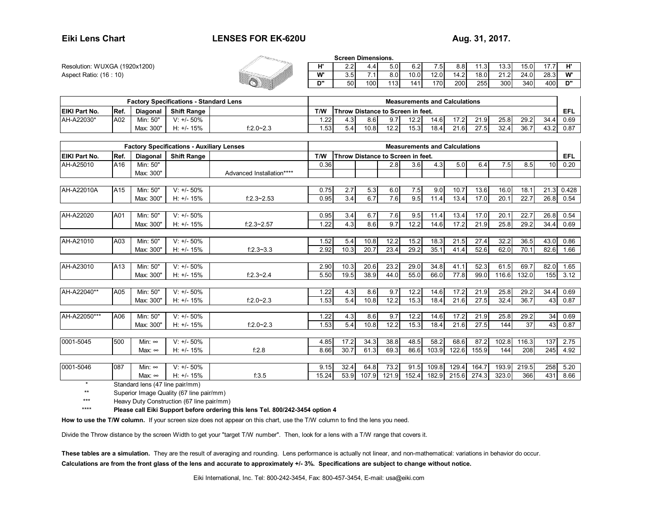## **LENSES FOR EK-620U Aug. 31, 2017.**

**Resolution: WUXGA (1920x1200) Aspect Ratio: (16 : 10)** 

|  | H' | $\sim$ $\sim$ $\sim$<br>ے.ے | 4.4                 | 5.0 | 6.2' | .51        | 8.8  | ٦.૩  | 13.3.           | 15.0 |      | ш  |
|--|----|-----------------------------|---------------------|-----|------|------------|------|------|-----------------|------|------|----|
|  | w. | 3.5                         | $\overline{A}$<br>. | 8.0 | 10.0 | 12<br>.2.0 | 14.2 | 18.0 | $^{\circ}$<br>. | 24.0 | 28.3 | W' |
|  | D" | 50                          | 100                 | 113 | 141  | 701        | 200  | 255  | 300             | 340  | 400  | D" |

| <b>Factory Specifications - Standard Lens</b> |             |           |                    |           | <b>Measurements and Calculations</b>            |           |      |            |      |      |             |      |      |      |      |      |
|-----------------------------------------------|-------------|-----------|--------------------|-----------|-------------------------------------------------|-----------|------|------------|------|------|-------------|------|------|------|------|------|
| EIKI Part No.                                 | <b>Ref.</b> | Diagonal  | <b>Shift Range</b> |           | T/W<br><b>Throw Distance to Screen in feet.</b> |           |      |            |      |      |             |      | EFL  |      |      |      |
| AH-A22030*                                    | A02         | Min: 50"  | $V: +/- 50\%$      |           | .22                                             | ູ<br>⊶.ວ. | 8.6  | 0.7<br>ວ., | 12.2 | 14.6 |             | 21.9 | 25.8 | 29.2 | 34.4 | 0.69 |
|                                               |             | Max: 300" | 15%<br>$H: +/-$    | f:2.0~2.3 | .53                                             | 5.4       | 10.8 | 12.2       | 15.3 | 18.4 | 24C<br>21.O | 27.5 | 32.4 | 36.7 | 43.2 | 0.87 |

| <b>Factory Specifications - Auxiliary Lenses</b> |      |                 |                    |                           | <b>Measurements and Calculations</b> |      |       |                                   |       |       |       |       |       |       |      |       |
|--------------------------------------------------|------|-----------------|--------------------|---------------------------|--------------------------------------|------|-------|-----------------------------------|-------|-------|-------|-------|-------|-------|------|-------|
| <b>EIKI Part No.</b>                             | Ref. | <b>Diagonal</b> | <b>Shift Range</b> |                           | T/W                                  |      |       | Throw Distance to Screen in feet. |       |       |       |       |       |       |      | EFL   |
| AH-A25010                                        | A16  | Min: 50"        |                    |                           | 0.36                                 |      |       | 2.8                               | 3.6   | 4.3   | 5.0   | 6.4   | 7.5   | 8.5   | 10   | 0.20  |
|                                                  |      | Max: 300"       |                    | Advanced Installation**** |                                      |      |       |                                   |       |       |       |       |       |       |      |       |
|                                                  |      |                 |                    |                           |                                      |      |       |                                   |       |       |       |       |       |       |      |       |
| AH-A22010A                                       | A15  | Min: 50"        | $V: +/- 50\%$      |                           | 0.75                                 | 2.7  | 5.3   | 6.0                               | 7.5   | 9.0   | 10.7  | 13.6  | 16.0  | 18.1  | 21.3 | 0.428 |
|                                                  |      | Max: 300"       | $H: +/- 15%$       | $f:2.3 - 2.53$            | 0.95                                 | 3.4  | 6.7   | 7.6                               | 9.5   | 11.4  | 13.4  | 17.0  | 20.1  | 22.7  | 26.8 | 0.54  |
|                                                  |      |                 |                    |                           |                                      |      |       |                                   |       |       |       |       |       |       |      |       |
| AH-A22020                                        | A01  | Min: 50"        | $V: +/- 50\%$      |                           | 0.95                                 | 3.4  | 6.7   | 7.6                               | 9.5   | 11.4  | 13.4  | 17.0  | 20.1  | 22.7  | 26.8 | 0.54  |
|                                                  |      | Max: 300"       | $H: +/- 15%$       | $f:2.3 - 2.57$            | 1.22                                 | 4.3  | 8.6   | 9.7                               | 12.2  | 14.6  | 17.2  | 21.9  | 25.8  | 29.2  | 34.4 | 0.69  |
|                                                  |      |                 |                    |                           |                                      |      |       |                                   |       |       |       |       |       |       |      |       |
| AH-A21010                                        | A03  | Min: 50"        | $V: +/- 50\%$      |                           | 1.52                                 | 5.4  | 10.8  | 12.2                              | 15.2  | 18.3  | 21.5  | 27.4  | 32.2  | 36.5  | 43.0 | 0.86  |
|                                                  |      | Max: 300"       | $H: +/- 15%$       | $f:2.3 - 3.3$             | 2.92                                 | 10.3 | 20.7  | 23.4                              | 29.2  | 35.1  | 41.4  | 52.6  | 62.0  | 70.1  | 82.6 | 1.66  |
|                                                  |      |                 |                    |                           |                                      |      |       |                                   |       |       |       |       |       |       |      |       |
| AH-A23010                                        | A13  | Min: 50"        | $V: +/- 50\%$      |                           | 2.90                                 | 10.3 | 20.6  | 23.2                              | 29.0  | 34.8  | 41.1  | 52.3  | 61.5  | 69.7  | 82.0 | 1.65  |
|                                                  |      | Max: 300"       | $H: +/- 15%$       | $f:2.3 - 2.4$             | 5.50                                 | 19.5 | 38.9  | 44.0                              | 55.0  | 66.0  | 77.8  | 99.0  | 116.6 | 132.0 | 155  | 3.12  |
| AH-A22040**                                      | A05  | Min: 50"        | $V: +/- 50\%$      |                           | 1.22                                 | 4.3  | 8.6   | 9.7                               | 12.2  | 14.6  | 17.2  | 21.9  | 25.8  | 29.2  | 34.4 | 0.69  |
|                                                  |      | Max: 300"       | $H: +/- 15%$       | $f:2.0 - 2.3$             | 1.53                                 | 5.4  | 10.8  | 12.2                              | 15.3  | 18.4  | 21.6  | 27.5  | 32.4  | 36.7  | 43   | 0.87  |
|                                                  |      |                 |                    |                           |                                      |      |       |                                   |       |       |       |       |       |       |      |       |
| AH-A22050***                                     | A06  | Min: 50"        | $V: +/- 50\%$      |                           | 1.22                                 | 4.3  | 8.6   | 9.7                               | 12.2  | 14.6  | 17.2  | 21.9  | 25.8  | 29.2  | 34   | 0.69  |
|                                                  |      | Max: 300"       | $H: +/- 15%$       | $f:2.0 - 2.3$             | 1.53                                 | 5.4  | 10.8  | 12.2                              | 15.3  | 18.4  | 21.6  | 27.5  | 144   | 37    | 43   | 0.87  |
|                                                  |      |                 |                    |                           |                                      |      |       |                                   |       |       |       |       |       |       |      |       |
| 0001-5045                                        | 500  | Min: $\infty$   | $V: +/- 50\%$      |                           | 4.85                                 | 17.2 | 34.3  | 38.8                              | 48.5  | 58.2  | 68.6  | 87.2  | 102.8 | 116.3 | 137  | 2.75  |
|                                                  |      | Max: ∞          | $H: +/- 15%$       | f:2.8                     | 8.66                                 | 30.7 | 61.3  | 69.3                              | 86.6  | 103.9 | 122.6 | 155.9 | 144   | 208   | 245  | 4.92  |
|                                                  |      |                 |                    |                           |                                      |      |       |                                   |       |       |       |       |       |       |      |       |
| 0001-5046                                        | 087  | Min: $\infty$   | $V: +/- 50\%$      |                           | 9.15                                 | 32.4 | 64.8  | 73.2                              | 91.5  | 109.8 | 129.4 | 164.7 | 193.9 | 219.5 | 258  | 5.20  |
|                                                  |      | Max: ∞          | $H: +/- 15%$       | f:3.5                     | 15.24                                | 53.9 | 107.9 | 121.9                             | 152.4 | 182.9 | 215.6 | 274.3 | 323.0 | 366   | 431  | 8.66  |

\*Standard lens (47 line pair/mm)

\*\*Superior Image Quality (67 line pair/mm)

\*\*\*Heavy Duty Construction (67 line pair/mm)

\*\*\*\***Please call Eiki Support before ordering this lens Tel. 800/242-3454 option 4**

How to use the T/W column. If your screen size does not appear on this chart, use the T/W column to find the lens you need.

Divide the Throw distance by the screen Width to get your "target T/W number". Then, look for a lens with a T/W range that covers it.

**These tables are a simulation.** They are the result of averaging and rounding. Lens performance is actually not linear, and non-mathematical: variations in behavior do occur.

**Calculations are from the front glass of the lens and accurate to approximately +/- 3%. Specifications are subject to change without notice.**